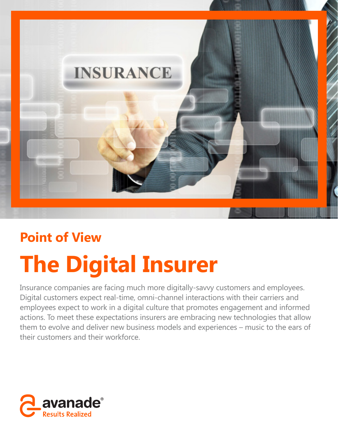

## **Point of View**

# **The Digital Insurer**

Insurance companies are facing much more digitally-savvy customers and employees. Digital customers expect real-time, omni-channel interactions with their carriers and employees expect to work in a digital culture that promotes engagement and informed actions. To meet these expectations insurers are embracing new technologies that allow them to evolve and deliver new business models and experiences – music to the ears of their customers and their workforce.

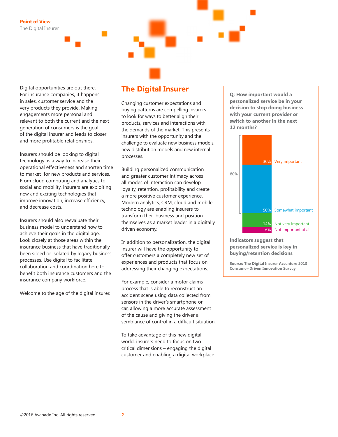Digital opportunities are out there. For insurance companies, it happens in sales, customer service and the very products they provide. Making engagements more personal and relevant to both the current and the next generation of consumers is the goal of the digital insurer and leads to closer and more profitable relationships.

Insurers should be looking to digital technology as a way to increase their operational effectiveness and shorten time to market for new products and services. From cloud computing and analytics to social and mobility, insurers are exploiting new and exciting technologies that improve innovation, increase efficiency, and decrease costs.

Insurers should also reevaluate their business model to understand how to achieve their goals in the digital age. Look closely at those areas within the insurance business that have traditionally been siloed or isolated by legacy business processes. Use digital to facilitate collaboration and coordination here to benefit both insurance customers and the insurance company workforce.

Welcome to the age of the digital insurer.

## **The Digital Insurer**

Changing customer expectations and buying patterns are compelling insurers to look for ways to better align their products, services and interactions with the demands of the market. This presents insurers with the opportunity and the challenge to evaluate new business models, new distribution models and new internal processes.

Building personalized communication and greater customer intimacy across all modes of interaction can develop loyalty, retention, profitability and create a more positive customer experience. Modern analytics, CRM, cloud and mobile technology are enabling insurers to transform their business and position themselves as a market leader in a digitally driven economy.

In addition to personalization, the digital insurer will have the opportunity to offer customers a completely new set of experiences and products that focus on addressing their changing expectations.

For example, consider a motor claims process that is able to reconstruct an accident scene using data collected from sensors in the driver's smartphone or car, allowing a more accurate assessment of the cause and giving the driver a semblance of control in a difficult situation.

To take advantage of this new digital world, insurers need to focus on two critical dimensions – engaging the digital customer and enabling a digital workplace. **Q: How important would a personalized service be in your decision to stop doing business with your current provider or switch to another in the next 12 months?**



**Indicators suggest that personalized service is key in buying/retention decisions** 

**Source: The Digital Insurer Accenture 2013 Consumer-Driven Innovation Survey**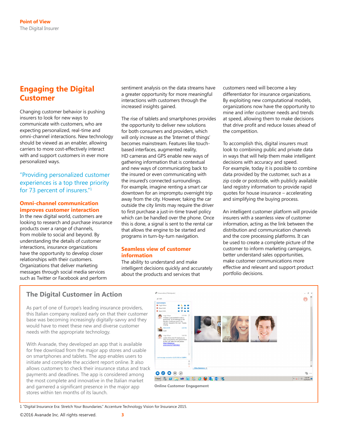## **Engaging the Digital Customer**

Changing customer behavior is pushing insurers to look for new ways to communicate with customers, who are expecting personalized, real-time and omni-channel interactions. New technology should be viewed as an enabler, allowing carriers to more cost-effectively interact with and support customers in ever more personalized ways.

## "Providing personalized customer experiences is a top three priority for 73 percent of insurers."1

#### **Omni-channel communication improves customer interaction**

In the new digital world, customers are looking to research and purchase insurance products over a range of channels, from mobile to social and beyond. By understanding the details of customer interactions, insurance organizations have the opportunity to develop closer relationships with their customers. Organizations that deliver marketing messages through social media services such as Twitter or Facebook and perform

sentiment analysis on the data streams have a greater opportunity for more meaningful interactions with customers through the increased insights gained.

The rise of tablets and smartphones provides the opportunity to deliver new solutions for both consumers and providers, which will only increase as the 'Internet of things' becomes mainstream. Features like touchbased interfaces, augmented reality, HD cameras and GPS enable new ways of gathering information that is contextual and new ways of communicating back to the insured or even communicating with the insured's connected surroundings. For example, imagine renting a smart car downtown for an impromptu overnight trip away from the city. However, taking the car outside the city limits may require the driver to first purchase a just-in-time travel policy which can be handled over the phone. Once this is done, a signal is sent to the rental car that allows the engine to be started and programs in turn-by-turn navigation.

#### **Seamless view of customer information**

The ability to understand and make intelligent decisions quickly and accurately about the products and services that

customers need will become a key differentiator for insurance organizations. By exploiting new computational models, organizations now have the opportunity to mine and infer customer needs and trends at speed, allowing them to make decisions that drive profit and reduce losses ahead of the competition.

To accomplish this, digital insurers must look to combining public and private data in ways that will help them make intelligent decisions with accuracy and speed. For example, today it is possible to combine data provided by the customer, such as a zip code or postcode, with publicly available land registry information to provide rapid quotes for house insurance – accelerating and simplifying the buying process.

An intelligent customer platform will provide insurers with a seamless view of customer information, acting as the link between the distribution and communication channels and the core processing platforms. It can be used to create a complete picture of the customer to inform marketing campaigns, better understand sales opportunities, make customer communications more effective and relevant and support product portfolio decisions.

## **The Digital Customer in Action**

As part of one of Europe's leading insurance providers, this Italian company realized early on that their customer base was becoming increasingly digitally-savvy and they would have to meet these new and diverse customer needs with the appropriate technology.

With Avanade, they developed an app that is available for free download from the major app stores and usable on smartphones and tablets. The app enables users to initiate and complete the accident report online. It also allows customers to check their insurance status and track payments and deadlines. The app is considered among the most complete and innovative in the Italian market and garnered a significant presence in the major app stores within ten months of its launch.



**Online Customer Engagement**

1 "Digital Insurance Era: Stretch Your Boundaries." Accenture Technology Vision for Insurance 2015.

©2016 Avanade Inc. All rights reserved. **3**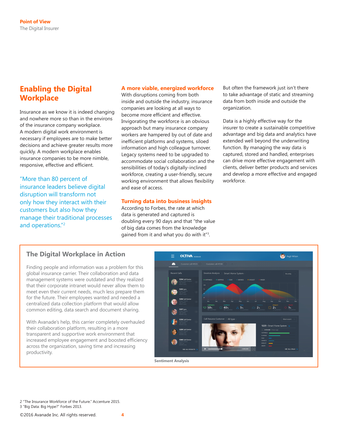## **Enabling the Digital Workplace**

Insurance as we know it is indeed changing and nowhere more so than in the environs of the insurance company workplace. A modern digital work environment is necessary if employees are to make better decisions and achieve greater results more quickly. A modern workplace enables insurance companies to be more nimble, responsive, effective and efficient.

"More than 80 percent of insurance leaders believe digital disruption will transform not only how they interact with their customers but also how they manage their traditional processes and operations."2

#### **A more viable, energized workforce**

With disruptions coming from both inside and outside the industry, insurance companies are looking at all ways to become more efficient and effective. Invigorating the workforce is an obvious approach but many insurance company workers are hampered by out of date and inefficient platforms and systems, siloed information and high colleague turnover. Legacy systems need to be upgraded to accommodate social collaboration and the sensibilities of today's digitally-inclined workforce, creating a user-friendly, secure working environment that allows flexibility and ease of access.

#### **Turning data into business insights**

According to Forbes, the rate at which data is generated and captured is doubling every 90 days and that "the value of big data comes from the knowledge gained from it and what you do with it"<sup>3</sup>.

But often the framework just isn't there to take advantage of static and streaming data from both inside and outside the organization.

Data is a highly effective way for the insurer to create a sustainable competitive advantage and big data and analytics have extended well beyond the underwriting function. By managing the way data is captured, stored and handled, enterprises can drive more effective engagement with clients, deliver better products and services and develop a more effective and engaged workforce.

## **The Digital Workplace in Action**

Finding people and information was a problem for this global insurance carrier. Their collaboration and data management systems were outdated and they realized that their corporate intranet would never allow them to meet even their current needs, much less prepare them for the future. Their employees wanted and needed a centralized data collection platform that would allow common editing, data search and document sharing.

With Avanade's help, this carrier completely overhauled their collaboration platform, resulting in a more transparent and supportive work environment that increased employee engagement and boosted efficiency across the organization, saving time and increasing productivity.



**Sentiment Analysis**

2 "The Insurance Workforce of the Future." Accenture 2015. 3 "Big Data: Big Hype?" Forbes 2013.